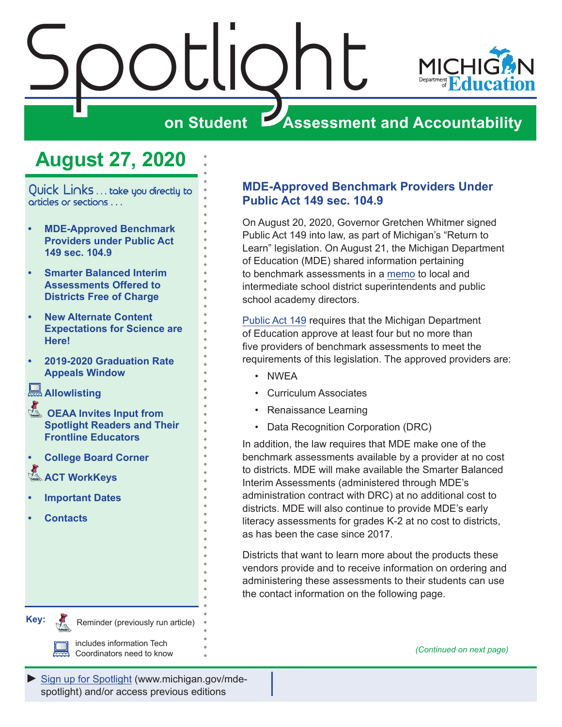<span id="page-0-0"></span>



## **on Student Assessment and Accountability**

## **August 27, 2020**

Quick Links . . . take you directly to articles or sections . . .

- **• MDE-Approved Benchmark Providers under Public Act 149 sec. 104.9**
- **• [Smarter Balanced Interim](#page-1-0)  [Assessments Offered to](#page-1-0)  [Districts Free of Charge](#page-1-0)**
- **• [New Alternate Content](#page-2-0)  [Expectations for Science are](#page-2-0)  [Here!](#page-2-0)**
- **• [2019-2020 Graduation Rate](#page-3-0)  [Appeals Window](#page-3-0)**

**[Allowlisting](#page-3-0)**

- **Reminder OEAA Invites Input from [Spotlight Readers and Their](#page-4-0)  [Frontline Educators](#page-4-0)**
- **• [College Board Corner](#page-5-0)**
- **ACT WorkKeys**
- **• [Important Dates](#page-7-0)**
- **• [Contacts](#page-8-0)**

**MDE-Approved Benchmark Providers Under Public Act 149 sec. 104.9**

On August 20, 2020, Governor Gretchen Whitmer signed Public Act 149 into law, as part of Michigan's "Return to Learn" legislation. On August 21, the Michigan Department of Education (MDE) shared information pertaining to benchmark assessments in a [memo](https://www.michigan.gov/documents/mde/Benchmark_Assessments_700077_7.pdf) to local and intermediate school district superintendents and public school academy directors.

[Public Act 149](http://www.legislature.mi.gov/(S(qp0lahun3fa0inykutc21za5))/mileg.aspx?page=getObject&objectName=2020-HB-5913) requires that the Michigan Department of Education approve at least four but no more than five providers of benchmark assessments to meet the requirements of this legislation. The approved providers are:

- NWEA
- Curriculum Associates
- Renaissance Learning
- Data Recognition Corporation (DRC)

In addition, the law requires that MDE make one of the benchmark assessments available by a provider at no cost to districts. MDE will make available the Smarter Balanced Interim Assessments (administered through MDE's administration contract with DRC) at no additional cost to districts. MDE will also continue to provide MDE's early literacy assessments for grades K-2 at no cost to districts, as has been the case since 2017.

Districts that want to learn more about the products these vendors provide and to receive information on ordering and administering these assessments to their students can use the contact information on the following page.

**Key:**

Reminder (previously run article)

Reminders

includes information Tech Coordinators need to know *(Continued on next page)*

[Sign up for Spotlight](https://public.govdelivery.com/accounts/MIMDE/subscriber/new) [\(www.michigan.gov/mde](www.michigan.gov/mde-spotlight)spotlight) and/or access previous editions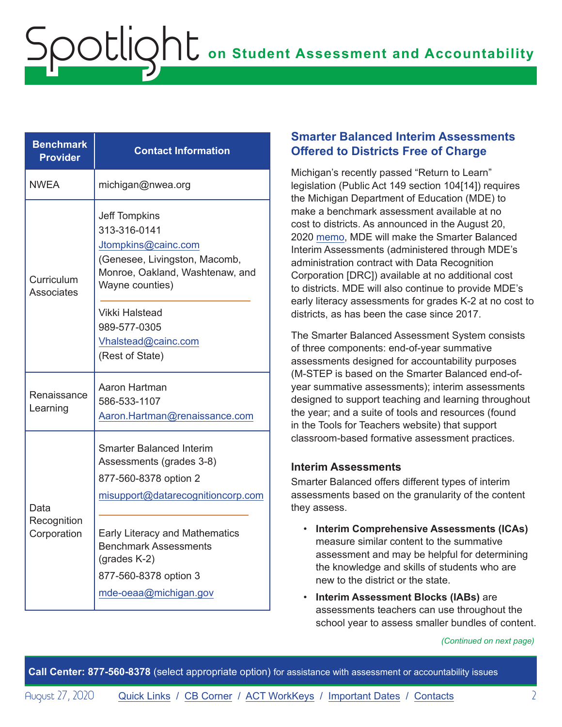| <b>Benchmark</b><br><b>Provider</b> | <b>Contact Information</b>                                                                                                                                                                                                                                           |
|-------------------------------------|----------------------------------------------------------------------------------------------------------------------------------------------------------------------------------------------------------------------------------------------------------------------|
| <b>NWEA</b>                         | michigan@nwea.org                                                                                                                                                                                                                                                    |
| Curriculum<br><b>Associates</b>     | <b>Jeff Tompkins</b><br>313-316-0141<br>Jtompkins@cainc.com<br>(Genesee, Livingston, Macomb,<br>Monroe, Oakland, Washtenaw, and<br>Wayne counties)<br>Vikki Halstead                                                                                                 |
|                                     | 989-577-0305<br>Vhalstead@cainc.com<br>(Rest of State)                                                                                                                                                                                                               |
| Renaissance<br>Learning             | Aaron Hartman<br>586-533-1107<br>Aaron.Hartman@renaissance.com                                                                                                                                                                                                       |
| Data<br>Recognition<br>Corporation  | <b>Smarter Balanced Interim</b><br>Assessments (grades 3-8)<br>877-560-8378 option 2<br>misupport@datarecognitioncorp.com<br><b>Early Literacy and Mathematics</b><br><b>Benchmark Assessments</b><br>(grades K-2)<br>877-560-8378 option 3<br>mde-oeaa@michigan.gov |

<span id="page-1-0"></span>Spotlight

### **Smarter Balanced Interim Assessments Offered to Districts Free of Charge**

Michigan's recently passed "Return to Learn" legislation (Public Act 149 section 104[14]) requires the Michigan Department of Education (MDE) to make a benchmark assessment available at no cost to districts. As announced in the August 20, 2020 [memo](https://www.michigan.gov/documents/mde/Benchmark_Assessments_700077_7.pdf), MDE will make the Smarter Balanced Interim Assessments (administered through MDE's administration contract with Data Recognition Corporation [DRC]) available at no additional cost to districts. MDE will also continue to provide MDE's early literacy assessments for grades K-2 at no cost to districts, as has been the case since 2017.

The Smarter Balanced Assessment System consists of three components: end-of-year summative assessments designed for accountability purposes (M-STEP is based on the Smarter Balanced end-ofyear summative assessments); interim assessments designed to support teaching and learning throughout the year; and a suite of tools and resources (found in the Tools for Teachers website) that support classroom-based formative assessment practices.

### **Interim Assessments**

Smarter Balanced offers different types of interim assessments based on the granularity of the content they assess.

- **Interim Comprehensive Assessments (ICAs)** measure similar content to the summative assessment and may be helpful for determining the knowledge and skills of students who are new to the district or the state.
- **Interim Assessment Blocks (IABs)** are assessments teachers can use throughout the school year to assess smaller bundles of content.

*(Continued on next page)*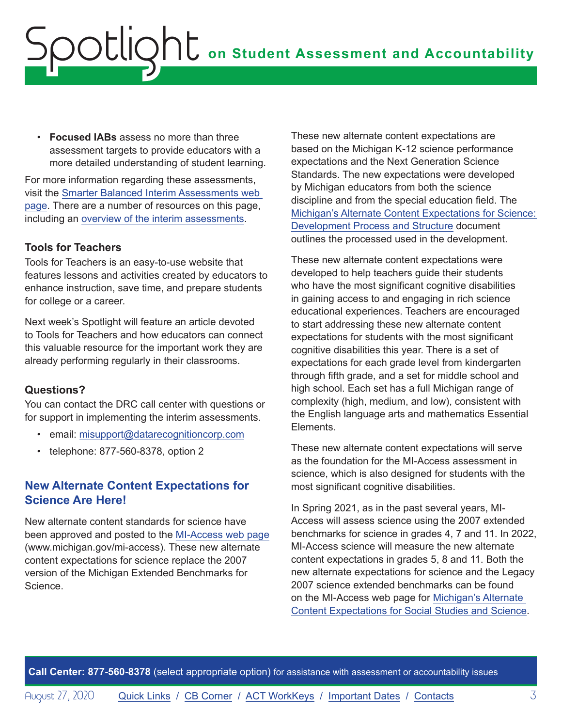<span id="page-2-0"></span>• **Focused IABs** assess no more than three assessment targets to provide educators with a more detailed understanding of student learning.

For more information regarding these assessments, visit the [Smarter Balanced Interim Assessments web](https://www.smarterbalanced.org/assessments/interim-assessments/)  [page](https://www.smarterbalanced.org/assessments/interim-assessments/). There are a number of resources on this page, including an [overview of the interim assessments](https://portal.smarterbalanced.org/library/en/interim-assessments-overview.pdf).

### **Tools for Teachers**

Tools for Teachers is an easy-to-use website that features lessons and activities created by educators to enhance instruction, save time, and prepare students for college or a career.

Next week's Spotlight will feature an article devoted to Tools for Teachers and how educators can connect this valuable resource for the important work they are already performing regularly in their classrooms.

### **Questions?**

You can contact the DRC call center with questions or for support in implementing the interim assessments.

- email: [misupport@datarecognitioncorp.com](mailto:misupport%40datarecognitioncorp.com?subject=)
- telephone: 877-560-8378, option 2

## **New Alternate Content Expectations for Science Are Here!**

New alternate content standards for science have been approved and posted to the [MI-Access web page](http://www.michigan.gov/mi-access) (www.michigan.gov/mi-access). These new alternate content expectations for science replace the 2007 version of the Michigan Extended Benchmarks for Science.

These new alternate content expectations are based on the Michigan K-12 science performance expectations and the Next Generation Science Standards. The new expectations were developed by Michigan educators from both the science discipline and from the special education field. The [Michigan's Alternate Content Expectations for Science:](https://www.michigan.gov/documents/mde/Michigans_Alternate_Content_Expectations_for_Science_Development_Process_and_Structure_700072_7.pdf)  [Development Process and Structure](https://www.michigan.gov/documents/mde/Michigans_Alternate_Content_Expectations_for_Science_Development_Process_and_Structure_700072_7.pdf) document outlines the processed used in the development.

These new alternate content expectations were developed to help teachers guide their students who have the most significant cognitive disabilities in gaining access to and engaging in rich science educational experiences. Teachers are encouraged to start addressing these new alternate content expectations for students with the most significant cognitive disabilities this year. There is a set of expectations for each grade level from kindergarten through fifth grade, and a set for middle school and high school. Each set has a full Michigan range of complexity (high, medium, and low), consistent with the English language arts and mathematics Essential Elements.

These new alternate content expectations will serve as the foundation for the MI-Access assessment in science, which is also designed for students with the most significant cognitive disabilities.

In Spring 2021, as in the past several years, MI-Access will assess science using the 2007 extended benchmarks for science in grades 4, 7 and 11. In 2022, MI-Access science will measure the new alternate content expectations in grades 5, 8 and 11. Both the new alternate expectations for science and the Legacy 2007 science extended benchmarks can be found on the MI-Access web page for [Michigan's Alternate](https://www.michigan.gov/mde/0,4615,7-140-22709_28463-162769--,00.html)  [Content Expectations for Social Studies and Science](https://www.michigan.gov/mde/0,4615,7-140-22709_28463-162769--,00.html).

**Call Center: 877-560-8378** (select appropriate option) for assistance with assessment or accountability issues

August 27, 2020 **[Quick Links](#page-0-0) / [CB Corner](#page-5-1) / [ACT WorkKeys](#page-6-0) / [Important Dates](#page-7-1) / [Contacts](#page-8-1)** 3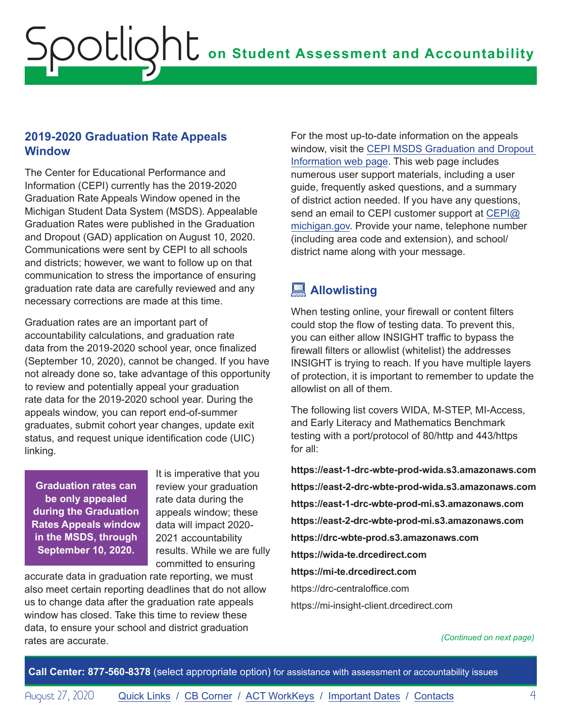## <span id="page-3-0"></span>**2019-2020 Graduation Rate Appeals Window**

The Center for Educational Performance and Information (CEPI) currently has the 2019-2020 Graduation Rate Appeals Window opened in the Michigan Student Data System (MSDS). Appealable Graduation Rates were published in the Graduation and Dropout (GAD) application on August 10, 2020. Communications were sent by CEPI to all schools and districts; however, we want to follow up on that communication to stress the importance of ensuring graduation rate data are carefully reviewed and any necessary corrections are made at this time.

Graduation rates are an important part of accountability calculations, and graduation rate data from the 2019-2020 school year, once finalized (September 10, 2020), cannot be changed. If you have not already done so, take advantage of this opportunity to review and potentially appeal your graduation rate data for the 2019-2020 school year. During the appeals window, you can report end-of-summer graduates, submit cohort year changes, update exit status, and request unique identification code (UIC) linking.

**Graduation rates can be only appealed during the Graduation Rates Appeals window in the MSDS, through September 10, 2020.** 

It is imperative that you review your graduation rate data during the appeals window; these data will impact 2020- 2021 accountability results. While we are fully committed to ensuring

accurate data in graduation rate reporting, we must also meet certain reporting deadlines that do not allow us to change data after the graduation rate appeals window has closed. Take this time to review these data, to ensure your school and district graduation rates are accurate.

For the most up-to-date information on the appeals window, visit the [CEPI MSDS Graduation and Dropout](https://www.michigan.gov/cepi/0,1607,7-113-986_50502_56418---,00.html)  [Information web page.](https://www.michigan.gov/cepi/0,1607,7-113-986_50502_56418---,00.html) This web page includes numerous user support materials, including a user guide, frequently asked questions, and a summary of district action needed. If you have any questions, send an email to CEPI customer support at [CEPI@](mailto:CEPI%40michigan.gov?subject=) [michigan.gov](mailto:CEPI%40michigan.gov?subject=). Provide your name, telephone number (including area code and extension), and school/ district name along with your message.

## **Allowlisting**

When testing online, your firewall or content filters could stop the flow of testing data. To prevent this, you can either allow INSIGHT traffic to bypass the firewall filters or allowlist (whitelist) the addresses INSIGHT is trying to reach. If you have multiple layers of protection, it is important to remember to update the allowlist on all of them.

The following list covers WIDA, M-STEP, MI-Access, and Early Literacy and Mathematics Benchmark testing with a port/protocol of 80/http and 443/https for all:

**https://east-1-drc-wbte-prod-wida.s3.amazonaws.com https://east-2-drc-wbte-prod-wida.s3.amazonaws.com https://east-1-drc-wbte-prod-mi.s3.amazonaws.com https://east-2-drc-wbte-prod-mi.s3.amazonaws.com https://drc-wbte-prod.s3.amazonaws.com https://wida-te.drcedirect.com https://mi-te.drcedirect.com** https://drc-centraloffice.com https://mi-insight-client.drcedirect.com

*(Continued on next page)*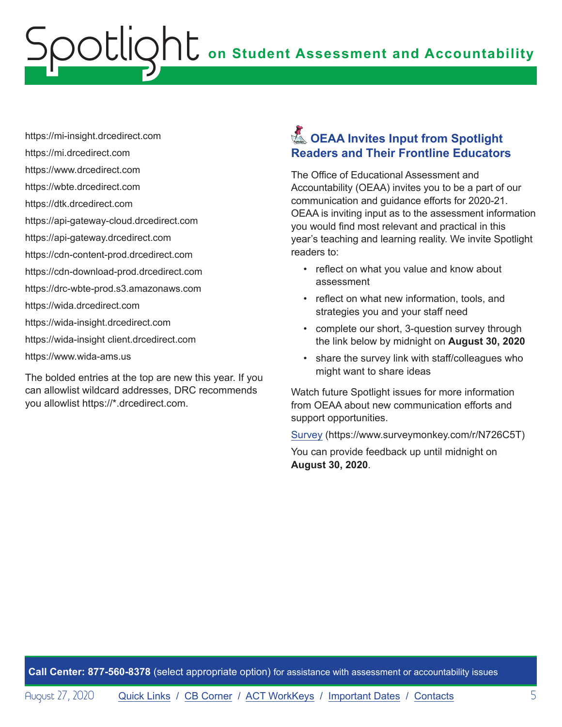## <span id="page-4-0"></span>**on Student Assessment and Accountability** ootlic

https://mi-insight.drcedirect.com

- https://mi.drcedirect.com
- https://www.drcedirect.com
- https://wbte.drcedirect.com
- https://dtk.drcedirect.com
- https://api-gateway-cloud.drcedirect.com
- https://api-gateway.drcedirect.com
- https://cdn-content-prod.drcedirect.com
- https://cdn-download-prod.drcedirect.com
- https://drc-wbte-prod.s3.amazonaws.com
- https://wida.drcedirect.com
- https://wida-insight.drcedirect.com
- https://wida-insight client.drcedirect.com
- https://www.wida-ams.us

The bolded entries at the top are new this year. If you can allowlist wildcard addresses, DRC recommends you allowlist https://\*.drcedirect.com.

## **A** OEAA Invites Input from Spotlight **Readers and Their Frontline Educators**

The Office of Educational Assessment and Accountability (OEAA) invites you to be a part of our communication and guidance efforts for 2020-21. OEAA is inviting input as to the assessment information you would find most relevant and practical in this year's teaching and learning reality. We invite Spotlight readers to:

- reflect on what you value and know about assessment
- reflect on what new information, tools, and strategies you and your staff need
- complete our short, 3-question survey through the link below by midnight on **August 30, 2020**
- share the survey link with staff/colleagues who might want to share ideas

Watch future Spotlight issues for more information from OEAA about new communication efforts and support opportunities.

S[urvey](https://www.surveymonkey.com/r/N726C5T) (https://www.surveymonkey.com/r/N726C5T)

You can provide feedback up until midnight on **August 30, 2020**.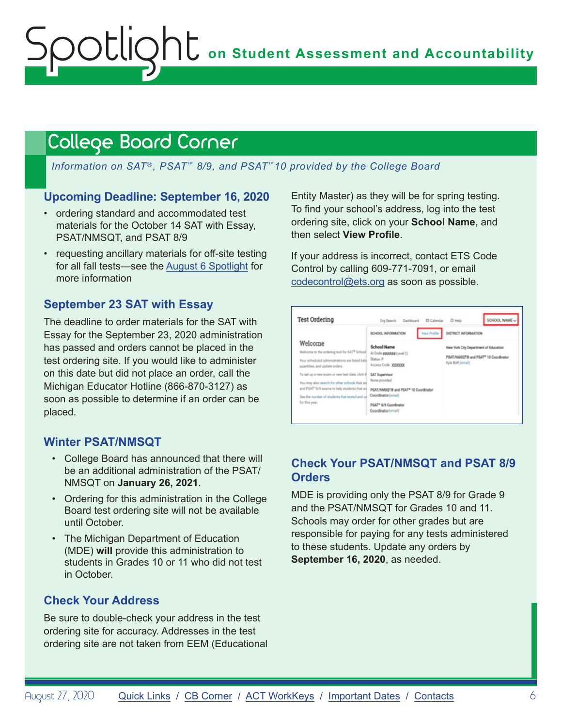## <span id="page-5-1"></span><span id="page-5-0"></span>College Board Corner

*Information on SAT*®*, PSAT*™ *8/9, and PSAT*™*10 provided by the College Board*

### **Upcoming Deadline: September 16, 2020**

- ordering standard and accommodated test materials for the October 14 SAT with Essay, PSAT/NMSQT, and PSAT 8/9
- requesting ancillary materials for off-site testing for all fall tests—see the [August 6 Spotlight](https://www.michigan.gov/documents/mde/Spotlight_8-6-20_698659_7.pdf) for more information

### **September 23 SAT with Essay**

The deadline to order materials for the SAT with Essay for the September 23, 2020 administration has passed and orders cannot be placed in the test ordering site. If you would like to administer on this date but did not place an order, call the Michigan Educator Hotline (866-870-3127) as soon as possible to determine if an order can be placed.

### **Winter PSAT/NMSQT**

- College Board has announced that there will be an additional administration of the PSAT/ NMSQT on **January 26, 2021**.
- Ordering for this administration in the College Board test ordering site will not be available until October.
- The Michigan Department of Education (MDE) **will** provide this administration to students in Grades 10 or 11 who did not test in October.

## **Check Your Address**

Be sure to double-check your address in the test ordering site for accuracy. Addresses in the test ordering site are not taken from EEM (Educational Entity Master) as they will be for spring testing. To find your school's address, log into the test ordering site, click on your **School Name**, and then select **View Profile**.

If your address is incorrect, contact ETS Code Control by calling 609-771-7091, or email [codecontrol@ets.org](mailto:codecontrol%40ets.org?subject=) as soon as possible.



## **Check Your PSAT/NMSQT and PSAT 8/9 Orders**

MDE is providing only the PSAT 8/9 for Grade 9 and the PSAT/NMSQT for Grades 10 and 11. Schools may order for other grades but are responsible for paying for any tests administered to these students. Update any orders by **September 16, 2020**, as needed.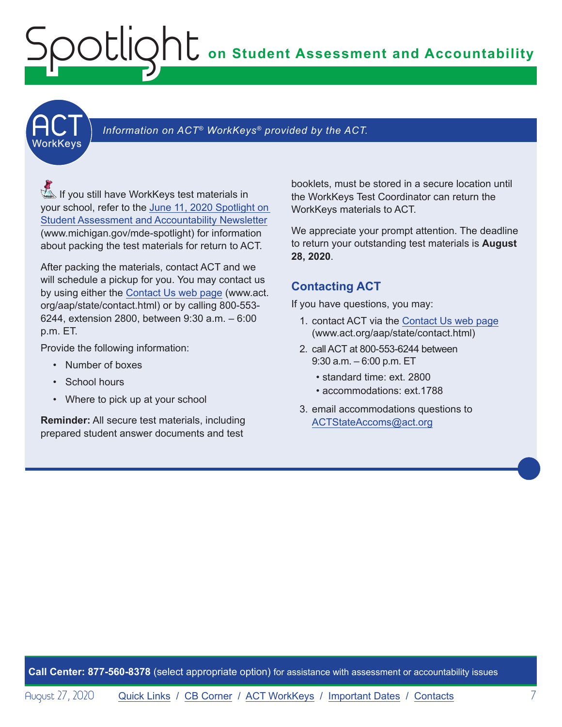## <span id="page-6-0"></span>**on Student Assessment and Accountability** Spotlight

**ACT** 

## Information on ACT<sup>®</sup> WorkKeys<sup>®</sup> provided by the ACT.

**A** If you still have WorkKeys test materials in your school, refer to the [June 11, 2020 Spotlight on](https://www.michigan.gov/documents/mde/Spotlight_6-11-20_693650_7.pdf)  [Student Assessment and Accountability Newsletter](https://www.michigan.gov/documents/mde/Spotlight_6-11-20_693650_7.pdf) (www.michigan.gov/mde-spotlight) for information about packing the test materials for return to ACT.

After packing the materials, contact ACT and we will schedule a pickup for you. You may contact us by using either the [Contact Us web page](http://www.act.org/aap/state/contact.html) (www.act. org/aap/state/contact.html) or by calling 800-553- 6244, extension 2800, between 9:30 a.m. – 6:00 p.m. ET.

Provide the following information:

- Number of boxes
- School hours
- Where to pick up at your school

**Reminder:** All secure test materials, including prepared student answer documents and test

booklets, must be stored in a secure location until the WorkKeys Test Coordinator can return the WorkKeys materials to ACT.

We appreciate your prompt attention. The deadline to return your outstanding test materials is **August 28, 2020**.

## **Contacting ACT**

If you have questions, you may:

- 1. contact ACT via the [Contact Us web page](http://www.act.org/aap/state/contact.html) ([www.act.org/aap/state/contact.html](https://www.act.org/aap/state/contact.html))
- 2. call ACT at 800-553-6244 between 9:30 a.m. – 6:00 p.m. ET
	- standard time: ext. 2800
	- accommodations: ext.1788
- 3. email accommodations questions to [ACTStateAccoms@act.org](mailto:ACTStateAccoms%40act.org?subject=)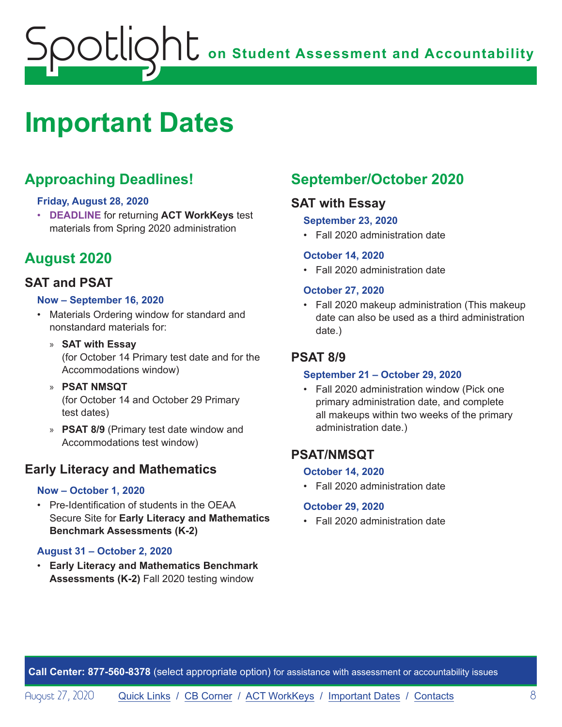## <span id="page-7-0"></span>**on Student Assessment and Accountability** potlic

# <span id="page-7-1"></span>**Important Dates**

## **Approaching Deadlines!**

#### **Friday, August 28, 2020**

• **DEADLINE** for returning **ACT WorkKeys** test materials from Spring 2020 administration

## **August 2020**

## **SAT and PSAT**

#### **Now – September 16, 2020**

- Materials Ordering window for standard and nonstandard materials for:
	- » **SAT with Essay** (for October 14 Primary test date and for the Accommodations window)
	- » **PSAT NMSQT** (for October 14 and October 29 Primary test dates)
	- » **PSAT 8/9** (Primary test date window and Accommodations test window)

## **Early Literacy and Mathematics**

#### **Now – October 1, 2020**

• Pre-Identification of students in the OEAA Secure Site for **Early Literacy and Mathematics Benchmark Assessments (K-2)**

### **August 31 – October 2, 2020**

• **Early Literacy and Mathematics Benchmark Assessments (K-2)** Fall 2020 testing window

## **September/October 2020**

## **SAT with Essay**

#### **September 23, 2020**

• Fall 2020 administration date

#### **October 14, 2020**

• Fall 2020 administration date

#### **October 27, 2020**

• Fall 2020 makeup administration (This makeup date can also be used as a third administration date.)

## **PSAT 8/9**

#### **September 21 – October 29, 2020**

• Fall 2020 administration window (Pick one primary administration date, and complete all makeups within two weeks of the primary administration date.)

## **PSAT/NMSQT**

#### **October 14, 2020**

• Fall 2020 administration date

#### **October 29, 2020**

• Fall 2020 administration date

**Call Center: 877-560-8378** (select appropriate option) for assistance with assessment or accountability issues

August 27, 2020 **[Quick Links](#page-0-0) / [CB Corner](#page-5-1) / [ACT WorkKeys](#page-6-0) / [Important Dates](#page-7-1) / [Contacts](#page-8-1)** 8